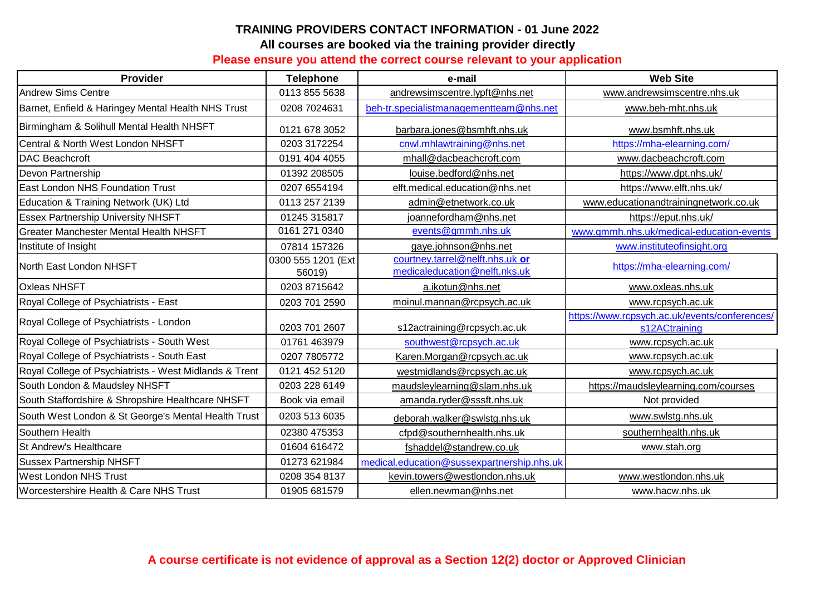## **TRAINING PROVIDERS CONTACT INFORMATION - 01 June 2022 All courses are booked via the training provider directly**

## **Please ensure you attend the correct course relevant to your application**

| Provider                                               | <b>Telephone</b>             | e-mail                                                           | <b>Web Site</b>                                                |  |
|--------------------------------------------------------|------------------------------|------------------------------------------------------------------|----------------------------------------------------------------|--|
| <b>Andrew Sims Centre</b>                              | 0113 855 5638                | andrewsimscentre.lypft@nhs.net                                   | www.andrewsimscentre.nhs.uk                                    |  |
| Barnet, Enfield & Haringey Mental Health NHS Trust     | 0208 7024631                 | beh-tr.specialistmanagementteam@nhs.net                          | www.beh-mht.nhs.uk                                             |  |
| Birmingham & Solihull Mental Health NHSFT              | 0121 678 3052                | barbara.jones@bsmhft.nhs.uk                                      | www.bsmhft.nhs.uk                                              |  |
| Central & North West London NHSFT                      | 0203 3172254                 | cnwl.mhlawtraining@nhs.net                                       | https://mha-elearning.com/                                     |  |
| <b>DAC Beachcroft</b>                                  | 0191 404 4055                | mhall@dacbeachcroft.com                                          | www.dacbeachcroft.com                                          |  |
| Devon Partnership                                      | 01392 208505                 | louise.bedford@nhs.net                                           | https://www.dpt.nhs.uk/                                        |  |
| East London NHS Foundation Trust                       | 0207 6554194                 | elft.medical.education@nhs.net                                   | https://www.elft.nhs.uk/                                       |  |
| Education & Training Network (UK) Ltd                  | 0113 257 2139                | admin@etnetwork.co.uk                                            | www.educationandtrainingnetwork.co.uk                          |  |
| <b>Essex Partnership University NHSFT</b>              | 01245 315817                 | joannefordham@nhs.net                                            | https://eput.nhs.uk/                                           |  |
| Greater Manchester Mental Health NHSFT                 | 0161 271 0340                | events@gmmh.nhs.uk                                               | www.gmmh.nhs.uk/medical-education-events                       |  |
| Institute of Insight                                   | 07814 157326                 | gaye.johnson@nhs.net                                             | www.instituteofinsight.org                                     |  |
| North East London NHSFT                                | 0300 555 1201 (Ext<br>56019) | courtney.tarrel@nelft.nhs.uk or<br>medicaleducation@nelft.nks.uk | https://mha-elearning.com/                                     |  |
| <b>Oxleas NHSFT</b>                                    | 0203 8715642                 | a.ikotun@nhs.net                                                 | www.oxleas.nhs.uk                                              |  |
| Royal College of Psychiatrists - East                  | 0203 701 2590                | moinul.mannan@rcpsych.ac.uk                                      | www.rcpsych.ac.uk                                              |  |
| Royal College of Psychiatrists - London                | 0203 701 2607                | s12actraining@rcpsych.ac.uk                                      | https://www.rcpsych.ac.uk/events/conferences/<br>s12ACtraining |  |
| Royal College of Psychiatrists - South West            | 01761 463979                 | southwest@rcpsych.ac.uk                                          | www.rcpsych.ac.uk                                              |  |
| Royal College of Psychiatrists - South East            | 0207 7805772                 | Karen.Morgan@rcpsych.ac.uk                                       | www.rcpsych.ac.uk                                              |  |
| Royal College of Psychiatrists - West Midlands & Trent | 0121 452 5120                | westmidlands@rcpsych.ac.uk                                       | www.rcpsych.ac.uk                                              |  |
| South London & Maudsley NHSFT                          | 0203 228 6149                | maudsleylearning@slam.nhs.uk                                     | https://maudsleylearning.com/courses                           |  |
| South Staffordshire & Shropshire Healthcare NHSFT      | Book via email               | amanda.ryder@sssft.nhs.uk                                        | Not provided                                                   |  |
| South West London & St George's Mental Health Trust    | 0203 513 6035                | deborah.walker@swlstg.nhs.uk                                     | www.swlstg.nhs.uk                                              |  |
| Southern Health                                        | 02380 475353                 | cfpd@southernhealth.nhs.uk                                       | southernhealth.nhs.uk                                          |  |
| St Andrew's Healthcare                                 | 01604 616472                 | fshaddel@standrew.co.uk                                          | www.stah.org                                                   |  |
| <b>Sussex Partnership NHSFT</b>                        | 01273 621984                 | medical.education@sussexpartnership.nhs.uk                       |                                                                |  |
| <b>West London NHS Trust</b>                           | 0208 354 8137                | kevin.towers@westlondon.nhs.uk                                   | www.westlondon.nhs.uk                                          |  |
| Worcestershire Health & Care NHS Trust                 | 01905 681579                 | ellen.newman@nhs.net                                             | www.hacw.nhs.uk                                                |  |